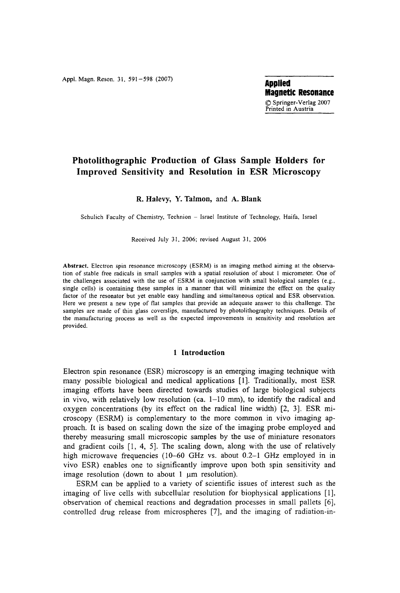**Appl.** Magn. Reson. 31, 591-598 (2007) **Applied** 

**Magnetic Resonance**  9 **Springer-Verlag** 2007 Printed in Austria

# **Photolithographic Production of Glass Sample Holders for Improved Sensitivity and Resolution in ESR Microscopy**

**R. Halevy, Y. Talmon, and A. Blank** 

Schulich Faculty of Chemistry, Technion - Israel Institute of Technology, Haifa, Israel

Received July 31, 2006; revised August 31, 2006

**Abstract.** Electron spin resonance microscopy (ESRM) is an imaging method aiming at the observation of stable free radicals in small samples with a spatial resolution of about 1 micrometer. One of the challenges associated with the use of ESRM in conjunction with small biological samples (e.g., single cells) is containing these samples in a manner that will minimize the effect on the quality factor of the resonator but yet enable easy handling and simultaneous optical and ESR observation. Here we present a new type of flat samples that provide an adequate answer to this challenge. The samples ate made of thin glass coverslips, manufactured by photolithography techniques. Details of the manufacturing process as well as the expected improvements in sensitivity and resolution are provided.

## **1 lntroduction**

Electron spin resonance (ESR) microscopy is an emerging imaging technique with many possible biological and medical applications [1]. Traditionally, most ESR imaging efforts have been directed towards studies of large biological subjects in vivo, with relatively low resolution (ca.  $1-10$  mm), to identify the radical and oxygen concentrations (by its effect on the radical line width) [2, 3]. ESR microscopy (ESRM) is complementary to the more common in vivo imaging approach. It is based on scaling down the size of the imaging probe employed and thereby measuring small microscopic samples by the use of miniature resonators and gradient coils [1, 4, 5]. The scaling down, along with the use of relatively high microwave frequencies (10–60 GHz vs. about 0.2–1 GHz employed in in vivo ESR) enables one to significantly improve upon both spin sensitivity and image resolution (down to about  $1 \mu m$  resolution).

ESRM can be applied to a variety of scientific issues of interest such as the imaging of live cells with subcellular resolution for biophysical applications [1], observation of chemical reactions and degradation processes in small pallets [6], controlled drug release from microspheres [7], and the imaging of radiation-in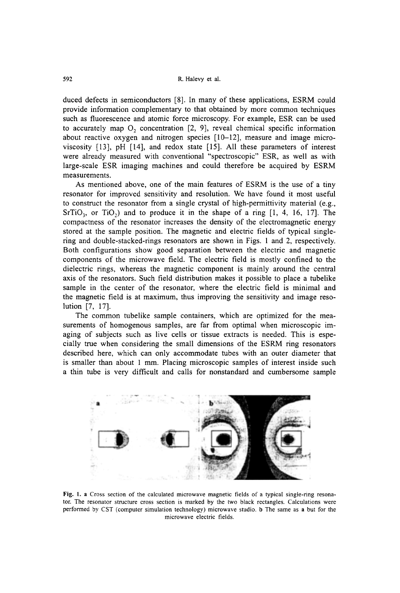duced defects in semiconductors [8]. In many of these applications, ESRM could provide information complementary to that obtained by more common techniques such as fluorescence and atomic force microscopy. For example, ESR can be used to accurately map  $O_2$  concentration [2, 9], reveal chemical specific information about reactive oxygen and nitrogen species [10-12], measure and image microviscosity [13], pH [14], and redox state [15]. All these parameters of interest were already measured with conventional "spectroscopic" ESR, as well as with large-scale ESR imaging machines and could therefore be acquired by ESRM measurements.

As mentioned above, one of the main features of ESRM is the use of a tiny resonator for improved sensitivity and resolution. We have found it most useful to construct the resonator from a single crystal of high-permittivity material (e.g.,  $SrTiO<sub>3</sub>$ , or TiO<sub>2</sub>) and to produce it in the shape of a ring [1, 4, 16, 17]. The compactness of the resonator increases the density of the etectromagnetic energy stored at the sample position. The magnetic and electric fields of typical singlering and double-stacked-rings resonators are shown in Figs. 1 and 2, respectively. Both configurations show good separation between the electric and magnetic components of the microwave field. The electric field is mostly confined to the dielectric rings, whereas the magnetic component is mainly around the central axis of the resonators. Such field distribution makes it possible to place a tubelike sample in the center of the resonator, where the electric field is minimal and the magnetic field is at maximum, thus improving the sensitivity and image resolution [7, 17].

The common tubelike sample containers, which are optimized for the measurements of homogenous samples, are far from optimal when microscopic imaging of subjects such as live cells or tissue extracts is needed. This is especially true when considering the small dimensions of the ESRM ring resonators described here, which can only accommodate tubes with an outer diameter that is smaller than about 1 mm. Placing microscopic samples of interest inside such a thin tube is very difficult and catls for nonstandard and cumbersome sample



Fig. 1. a Cross section of the calculated microwave magnetic fields of a typical single-ring resonator. The resonator structure cross section is marked by the two black rectangles. Calculations were performed by CST (computer simulation technology) microwave studio, b The same asa but for the microwave electric fields.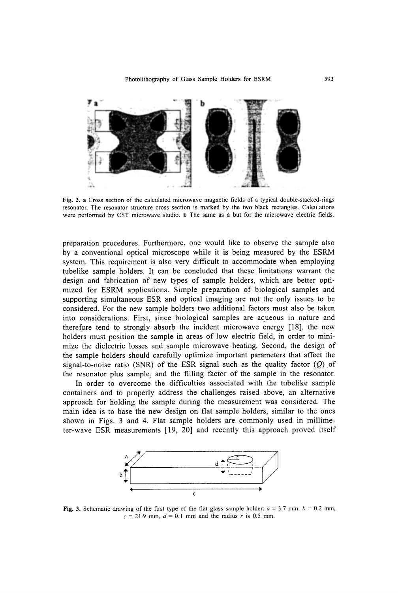

Fig. 2. a Cross section of the calculated microwave magnetic fields of a typical double-stacked-rings resonator. The resonator structure cross section is marked by the two black rectangles. Calculations were performed by CST microwave studio. b The same as a but for the microwave electric fields.

preparation procedures. Furthermore, one would like to observe the sample also by a conventional optical microscope while it is being measured by the ESRM system. This requirement is also very difficult to accommodate when employing tubelike sample holders. It can be concluded that these limitations warrant the design and fabrication of new types of sample holders, which are better optimized for ESRM applications. Simple preparation of biological samples and supporting simultaneous ESR and optieal imaging are not the only issues to be considered. For the new sample holders two additional factors must also be taken into considerations. First, since biological samples are aqueous in nature and therefore tend to strongly absorb the incident microwave energy [18], the new holders must position the sample in arcas of low electric field, in order to minimize the dielectric losses and sample microwave heating. Second, the design of the sample holders should carefully optimize important parameters that affect the signal-to-noise ratio (SNR) of the ESR signal such as the quality factor  $(Q)$  of the resonator plus sample, and the filling factor of the sample in the resonator.

In order to overcome the difficulties associated with the tubelike sample containers and to properly address the challenges raised above, an altemative approach for holding the sample during the measurement was considered. The main idea is to base the new design on flat sample holders, similar to the ones shown in Figs. 3 and 4. Flat sample holders are commonly used in millimeter-wave ESR measurements [19, 20] and recently this approach proved itself



Fig. 3. Schematic drawing of the first type of the flat glass sample holder:  $a = 3.7$  mm,  $b = 0.2$  mm,  $c = 21.9$  mm,  $d = 0.1$  mm and the radius r is 0.5 mm.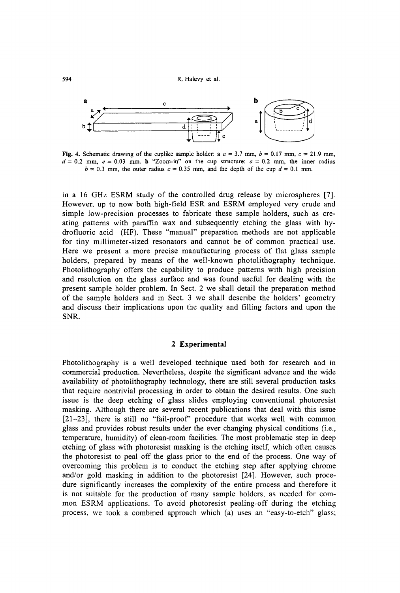594 R. Halevy et al.



Fig. 4. Schematic drawing of the cuplike sample holder: a  $a = 3.7$  mm,  $b = 0.17$  mm,  $c = 21.9$  mm,  $d = 0.2$  mm,  $e = 0.03$  mm. b "Zoom-in" on the cup structure:  $a = 0.2$  mm, the inner radius  $b = 0.3$  mm, the outer radius  $c = 0.35$  mm, and the depth of the cup  $d = 0.1$  mm.

in a 16 GHz ESRM study of the controlled drug release by microspheres [7]. However, up to now both high-field ESR and ESRM employed very crude and simple low-precision processes to fabricate these sample holders, such as creating patterns with paraffin wax and subsequently etching the glass with hydrofluoric acid (HF). These "manual" preparation methods are not applicable for tiny millimeter-sized resonators and cannot be of common practical use. Here we present a more precise manufacturing process of flat glass sample holders, prepared by means of the well-known photolithography technique. Photolithography offers the capability to produce pattems with high precision and resolution on the glass surface and was found useful for dealing with the present sample holder problem. In Sect. 2 we shall detail the preparation method of the sample holders and in Sect. 3 we shall describe the holders' geometry and discuss their implications upon the quality and filling factors and upon the SNR.

### **2 Experimental**

Photolithography is a well developed technique used both for research and in commercial production. Nevertheless, despite the significant advance and the wide availability of photolithography technology, there are still several production tasks that require nontrivial processing in order to obtain the desired results. One such issue is the deep etching of glass slides employing conventional photoresist masking. Although there are several recent publications that deal with this issue  $[21-23]$ , there is still no "fail-proof" procedure that works well with common glass and provides robust results under the ever changing physical conditions (i.e., temperature, humidity) of clean-room facilities. The most problematic step in deep etching of glass with photoresist masking is the etching itself, which often causes the photoresist to peal off the glass prior to the end of the process. One way of overcoming this problem is to conduct the etching step after applying chrome and/or gold masking in addition to the photoresist [24]. However, such procedure significantly increases the complexity of the entire process and therefore it is not suitable for the production of many sample holders, as needed for common ESRM applications. To avoid photoresist pealing-off during the etching process, we took a combined approach which (a) uses an "easy-to-etch" glass;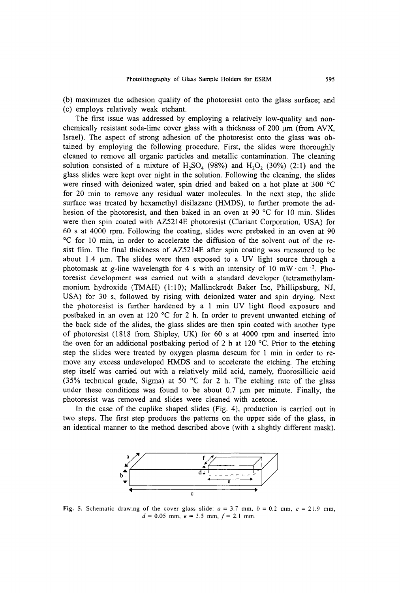(b) maximizes the adhesion quality of the photoresist onto the glass surface; and (c) employs relatively weak etchant.

The first issue was addressed by employing a relatively low-quality and nonchemically resistant soda-lime cover glass with a thickness of  $200 \mu m$  (from AVX, Israel). The aspect of strong adhesion of the photoresist onto the glass was obtained by employing the following procedure. First, the slides were thoroughly cleaned to remove all organic particles and metallic contamination. The cleaning solution consisted of a mixture of  $H_2SO_4$  (98%) and  $H_2O_2$  (30%) (2:1) and the glass slides were kept over night in the solution. Following the cleaning, the slides were rinsed with deionized water, spin dried and baked on a hot plate at 300  $^{\circ}$ C for 20 min to remove any residual water molecules. In the next step, the slide surface was treated by hexamethyl disilazane (HMDS), to further promote the adhesion of the photoresist, and then baked in an oven at 90  $^{\circ}$ C for 10 min. Slides were then spin coated with AZ5214E photoresist (Clariant Corporation, USA) for 60 s at 4000 rpm. Following the coating, slides were prebaked in an oven at 90 ~ for 10 min, in order to accelerate the diffusion of the solvent out of the resist film. The final thickness of AZ5214E after spin coating was measured to be about  $1.4$   $\mu$ m. The slides were then exposed to a UV light source through a photomask at g-line wavelength for 4 s with an intensity of 10 mW $\cdot$ cm<sup>-2</sup>. Photoresist development was carried out with a standard developer (tetramethylammonium hydroxide (TMAH) (1:10); Mallinckrodt Baker Inc, Phillipsburg, NJ, USA) for 30 s, followed by rising with deionized water and spin drying. Next the photoresist is further hardened by a 1 min UV light flood exposure and postbaked in an oven at 120  $\degree$ C for 2 h. In order to prevent unwanted etching of the back side of the slides, the glass slides are then spin coated with another type of photoresist (1818 from Shipley, UK) for 60 s at 4000 rpm and inserted into the oven for an additional postbaking period of 2 h at 120  $^{\circ}$ C. Prior to the etching step the slides were treated by oxygen plasma descum for 1 min in order to remove any excess undeveloped HMDS and to accelerate the etching. The etching step itself was carried out with a relatively mild acid, namely, fiuorosillicic acid (35% technical grade, Sigma) at 50  $^{\circ}$ C for 2 h. The etching rate of the glass under these conditions was found to be about 0.7  $\mu$ m per minute. Finally, the photoresist was removed and slides were cleaned with acetone.

In the case of the cuplike shaped slides (Fig. 4), production is carried out in two steps. The first step produces the pattems on the upper side of the glass, in an identical manner to the method described above (with a slightly different mask).



Fig. 5. Schematic drawing of the cover glass slide:  $a = 3.7$  mm,  $b = 0.2$  mm,  $c = 21.9$  mm,  $d=0.05$  mm,  $e=3.5$  mm,  $f=2.1$  mm.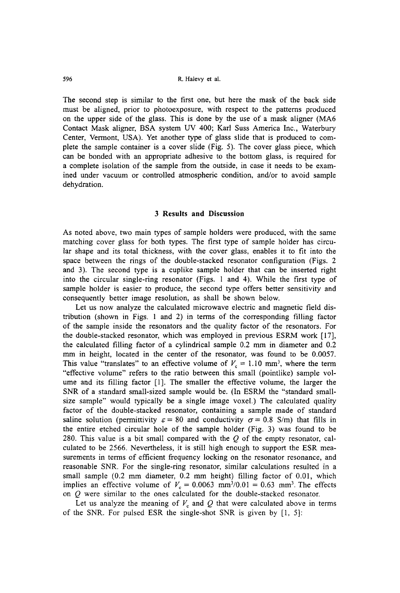The second step is similar to the first one, but here the mask of the back side must be aligned, prior to photoexposure, with respect to the patterns produced on the upper side of the glass. This is done by the use of a mask aligner (MA6 Contact Mask aligner, BSA system UV 400; Karl Suss America Inc., Waterbury Center, Vermont, USA). Yet another type of glass slide that is produced to complete the sample container is a cover slide (Fig. 5). The cover glass piece, which can be bonded with an appropriate adhesive to the bottom glass, is required for a complete isolation of the sample from the outside, in case it needs to be examined under vacuum or controlled atmospheric condition, and/or to avoid sample dehydration.

#### **3 Results and Discussion**

As noted above, two main types of sample holders were produced, with the same matching cover glass for both types. The first type of sample holder has circular shape and its total thickness, with the cover glass, enables it to fit into the space between the rings of the double-stacked resonator configuration (Figs. 2 and 3). The second type is a cuplike sample holder that can be inserted right into the circular single-ring resonator (Figs. 1 and 4). While the first type of sample holder is easier to produce, the second type offers better sensitivity and consequently better image resolution, as shall be shown below.

Let us now analyze the calculated microwave electric and magnetic field distribution (shown in Figs. 1 and 2) in terms of the corresponding filling factor of the sarnple inside the resonators and the quality factor of the resonators. For the double-stacked resonator, which was employed in previous ESRM work [17], the calculated filling factor of a cylindrical sample 0.2 mm in diameter and 0.2 mm in height, located in the center of the resonator, was found to be 0.0057. This value "translates" to an effective volume of  $V_c = 1.10$  mm<sup>3</sup>, where the term "effective volume" refers to the ratio between this small (pointlike) sample volume and its filling factor [1]. The smaller the effective volume, the larger the SNR of a standard small-sized sample would be. (In ESRM the "standard smallsize sample" would typically be a single image voxel.) The calculated quality factor of the double-stacked resonator, containing a sample made of standard saline solution (permittivity  $\varepsilon = 80$  and conductivity  $\sigma = 0.8$  S/m) that fills in the entire etched circular hole of the sample holder (Fig. 3) was found to be 280. This value is a bit small compared with the  $Q$  of the empty resonator, calculated to be 2566. Nevertheless, it is still high enough to support the ESR measurements in terms of efficient frequency locking on the resonator resonance, and reasonable SNR. For the single-ring resonator, similar catculations resulted in a small sample (0.2 mm diameter, 0.2 mm height) filling factor of 0.01, which implies an effective volume of  $V_c = 0.0063$  mm<sup>3</sup>/0.01 = 0.63 mm<sup>3</sup>. The effects on Q were similar to the ones calculated for the double-stacked resonator.

Let us analyze the meaning of  $V_c$  and  $Q$  that were calculated above in terms of the SNR. For pulsed ESR the single-shot SNR is given by [1, 5]: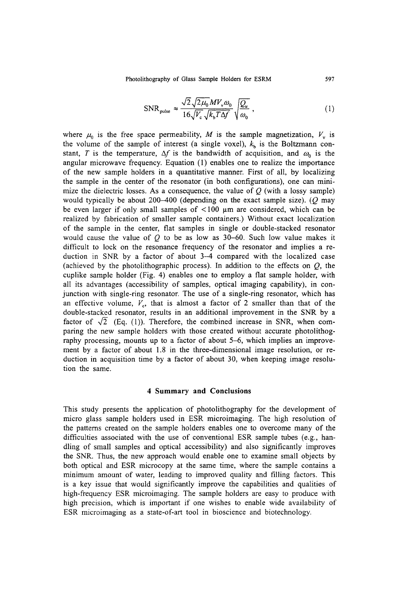Photolithography of Glass Sample Holders for ESRM 597

$$
\text{SNR}_{\text{pulse}} \approx \frac{\sqrt{2} \sqrt{2\mu_0} M V_v \omega_0}{16 \sqrt{V_c} \sqrt{k_b T \Delta f}} \sqrt{\frac{Q_u}{\omega_0}} \,, \tag{1}
$$

where  $\mu_0$  is the free space permeability, M is the sample magnetization,  $V_y$  is the volume of the sample of interest (a single voxel),  $k<sub>b</sub>$  is the Boltzmann constant, T is the temperature,  $\Delta f$  is the bandwidth of acquisition, and  $\omega_0$  is the angular microwave frequency. Equation (1) enables one to realize the importance of the new sample holders in a quantitative manner. First of all, by localizing the sample in the center of the resonator (in both configurations), one can minimize the dielectric losses. As a consequence, the value of  $O$  (with a lossy sample) would typically be about 200-400 (depending on the exact sample size). ( $O$  may be even larger if only small samples of  $\lt 100$  µm are considered, which can be realized by fabrication of smaller sample containers.) Without exact localization of the sample in the center, flat samples in single or double-stacked resonator would cause the value of  $O$  to be as low as 30-60. Such low value makes it difficult to lock on the resonance frequency of the resonator and implies a reduction in SNR by a factor of about 3-4 compared with the localized case (achieved by the photolithographic process). In addition to the effects on  $Q$ , the cuplike sample holder (Fig. 4) enables one to employ a flat sample holder, with all its advantages (accessibility of samples, optical imaging capability), in conjunction with single-ring resonator. The use of a single-ring resonator, which has an effective volume,  $V_c$ , that is almost a factor of 2 smaller than that of the double-stacked resonator, results in an additional improvement in the SNR by a factor of  $\sqrt{2}$  (Eq. (1)). Therefore, the combined increase in SNR, when comparing the new sample holders with those created without accurate photolithography processing, mounts up to a factor of about 5-6, which implies an improvement by a factor of about 1.8 in the three-dimensional image resolution, or reduction in acquisition time by a factor of about 30, when keeping image resolution the same.

# **4 Summary and Conclusions**

This study presents the application of photolithography for the development of micro glass sample holders used in ESR microimaging. The high resolution of the pattems created on the sample holders enables one to overcome many of the difficulties associated with the use of conventional ESR sample tubes (e.g., handling of small samples and optical accessibility) and also significantly improves the SNR. Thus, the new approach would enable one to examine small objects by both optical and ESR microcopy at the same time, where the sample contains a minimum amount of water, leading to improved quality and filling factors. This is a key issue that would significantly improve the capabilities and qualities of high-frequency ESR microimaging. The sample holders are easy to produce with high precision, which is important if one wishes to enable wide availability of ESR microimaging as a state-of-art tool in bioscience and biotechnology.